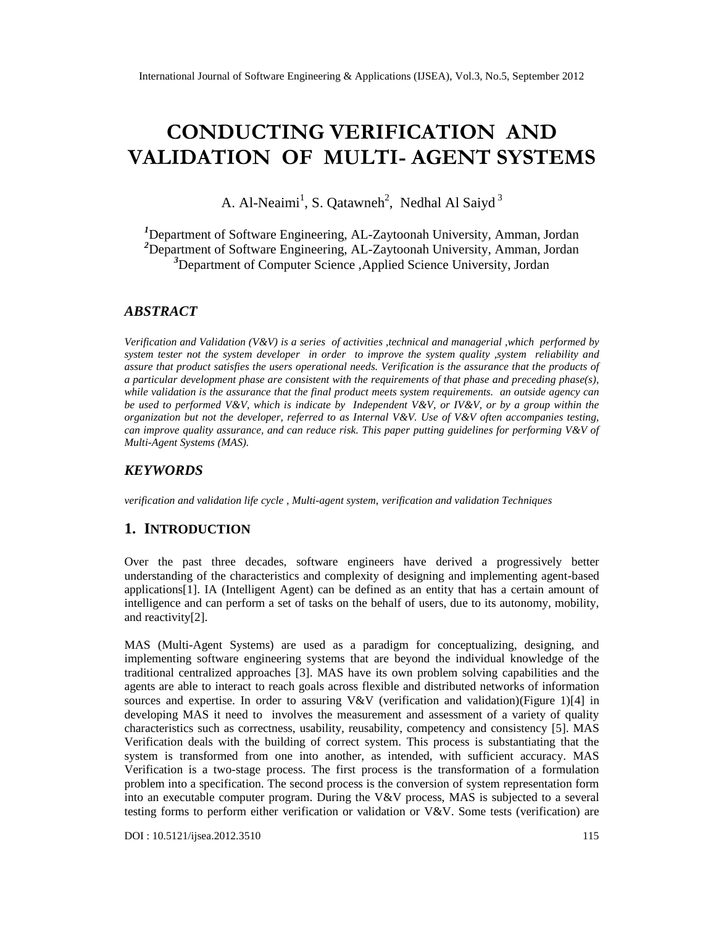# **CONDUCTING VERIFICATION AND VALIDATION OF MULTI- AGENT SYSTEMS**

A. Al-Neaimi<sup>1</sup>, S. Qatawneh<sup>2</sup>, Nedhal Al Saiyd<sup>3</sup>

*<sup>1</sup>*Department of Software Engineering, AL-Zaytoonah University, Amman, Jordan *<sup>2</sup>*Department of Software Engineering, AL-Zaytoonah University, Amman, Jordan *<sup>3</sup>*Department of Computer Science ,Applied Science University, Jordan

#### *ABSTRACT*

*Verification and Validation (V&V) is a series of activities ,technical and managerial ,which performed by system tester not the system developer in order to improve the system quality ,system reliability and assure that product satisfies the users operational needs. Verification is the assurance that the products of a particular development phase are consistent with the requirements of that phase and preceding phase(s), while validation is the assurance that the final product meets system requirements. an outside agency can be used to performed V&V, which is indicate by Independent V&V, or IV&V, or by a group within the organization but not the developer, referred to as Internal V&V. Use of V&V often accompanies testing, can improve quality assurance, and can reduce risk. This paper putting guidelines for performing V&V of Multi-Agent Systems (MAS).*

#### *KEYWORDS*

*verification and validation life cycle , Multi-agent system, verification and validation Techniques*

## **1. INTRODUCTION**

Over the past three decades, software engineers have derived a progressively better understanding of the characteristics and complexity of designing and implementing agent-based applications[1]. IA (Intelligent Agent) can be defined as an entity that has a certain amount of intelligence and can perform a set of tasks on the behalf of users, due to its autonomy, mobility, and reactivity[2].

MAS (Multi-Agent Systems) are used as a paradigm for conceptualizing, designing, and implementing software engineering systems that are beyond the individual knowledge of the traditional centralized approaches [3]. MAS have its own problem solving capabilities and the agents are able to interact to reach goals across flexible and distributed networks of information sources and expertise. In order to assuring V&V (verification and validation)(Figure 1)[4] in developing MAS it need to involves the measurement and assessment of a variety of quality characteristics such as correctness, usability, reusability, competency and consistency [5]. MAS Verification deals with the building of correct system. This process is substantiating that the system is transformed from one into another, as intended, with sufficient accuracy. MAS Verification is a two-stage process. The first process is the transformation of a formulation problem into a specification. The second process is the conversion of system representation form into an executable computer program. During the V&V process, MAS is subjected to a several testing forms to perform either verification or validation or V&V. Some tests (verification) are

DOI : 10.5121/ijsea.2012.3510 115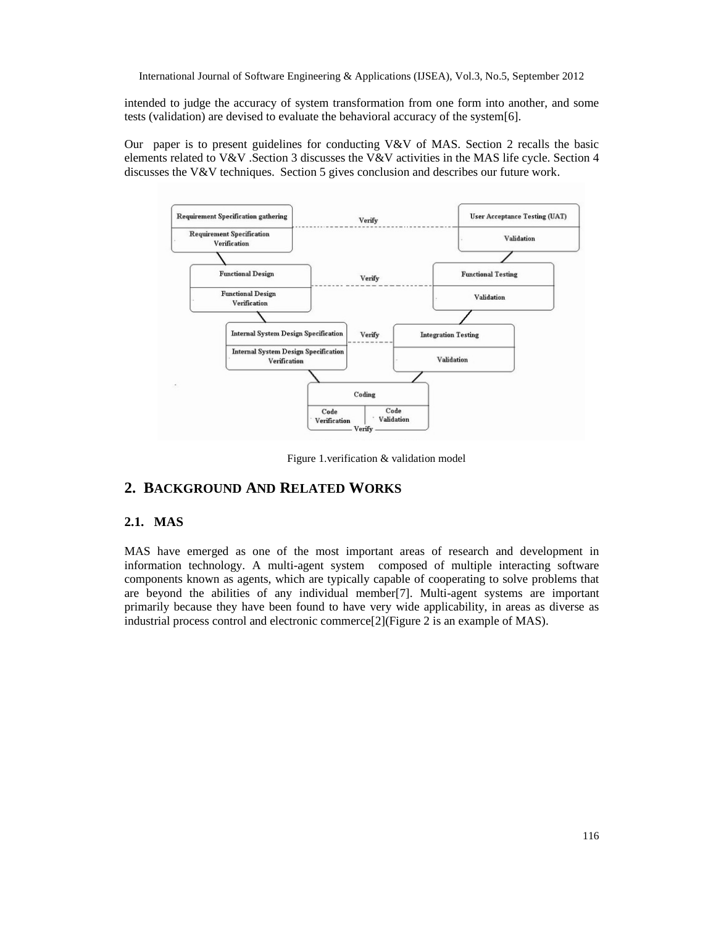intended to judge the accuracy of system transformation from one form into another, and some tests (validation) are devised to evaluate the behavioral accuracy of the system[6].

Our paper is to present guidelines for conducting V&V of MAS. Section 2 recalls the basic elements related to V&V .Section 3 discusses the V&V activities in the MAS life cycle. Section 4 discusses the V&V techniques. Section 5 gives conclusion and describes our future work.



Figure 1.verification & validation model

# **2. BACKGROUND AND RELATED WORKS**

#### **2.1. MAS**

MAS have emerged as one of the most important areas of research and development in information technology. A multi-agent system composed of multiple interacting software components known as agents, which are typically capable of cooperating to solve problems that are beyond the abilities of any individual member[7]. Multi-agent systems are important primarily because they have been found to have very wide applicability, in areas as diverse as industrial process control and electronic commerce[2](Figure 2 is an example of MAS).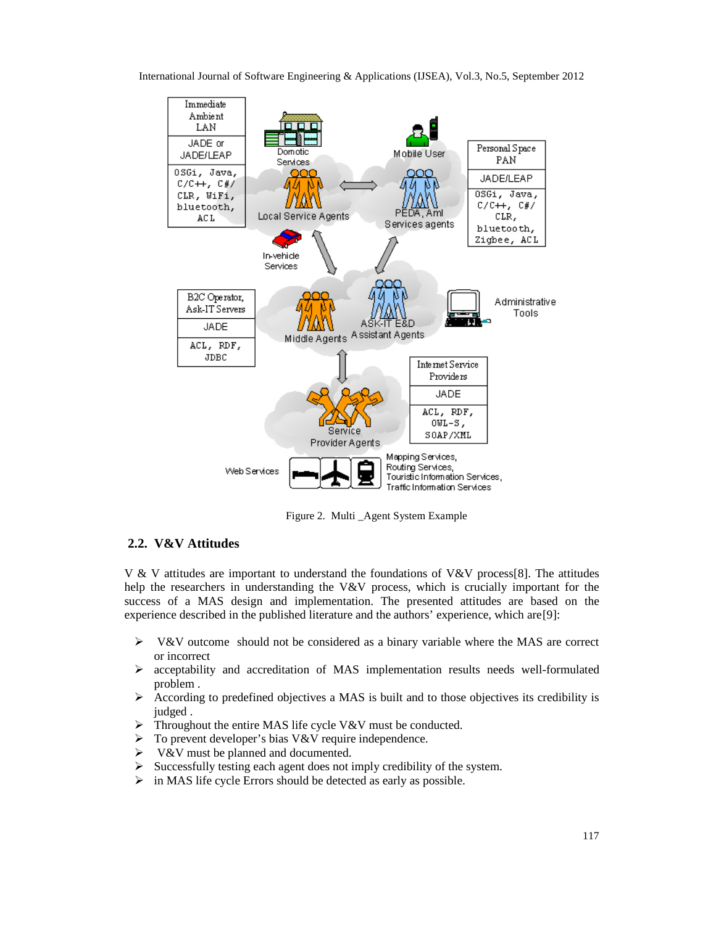

International Journal of Software Engineering & Applications (IJSEA), Vol.3, No.5, September 2012

Figure 2. Multi \_Agent System Example

# **2.2. V&V Attitudes**

V & V attitudes are important to understand the foundations of V&V process[8]. The attitudes help the researchers in understanding the V&V process, which is crucially important for the success of a MAS design and implementation. The presented attitudes are based on the experience described in the published literature and the authors' experience, which are[9]:

- $\triangleright$  V&V outcome should not be considered as a binary variable where the MAS are correct or incorrect
- $\triangleright$  acceptability and accreditation of MAS implementation results needs well-formulated problem .
- $\triangleright$  According to predefined objectives a MAS is built and to those objectives its credibility is judged .
- $\triangleright$  Throughout the entire MAS life cycle V&V must be conducted.
- $\triangleright$  To prevent developer's bias V&V require independence.
- V&V must be planned and documented.
- $\triangleright$  Successfully testing each agent does not imply credibility of the system.
- $\triangleright$  in MAS life cycle Errors should be detected as early as possible.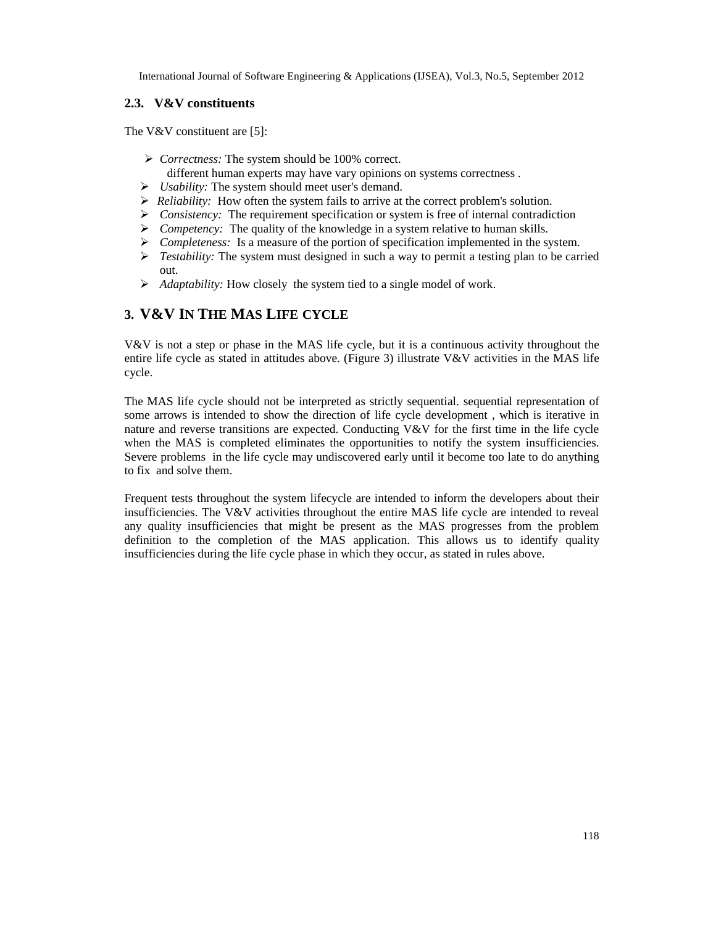#### **2.3. V&V constituents**

The V&V constituent are [5]:

- *Correctness:* The system should be 100% correct.
	- different human experts may have vary opinions on systems correctness .
- *Usability:* The system should meet user's demand.
- $\triangleright$  *Reliability:* How often the system fails to arrive at the correct problem's solution.
- $\triangleright$  *Consistency:* The requirement specification or system is free of internal contradiction
- *Competency:* The quality of the knowledge in a system relative to human skills.
- *Completeness:* Is a measure of the portion of specification implemented in the system.
- $\triangleright$  Testability: The system must designed in such a way to permit a testing plan to be carried out.
- *Adaptability:* How closely the system tied to a single model of work.

# **3. V&V IN THE MAS LIFE CYCLE**

V&V is not a step or phase in the MAS life cycle, but it is a continuous activity throughout the entire life cycle as stated in attitudes above. (Figure 3) illustrate V&V activities in the MAS life cycle.

The MAS life cycle should not be interpreted as strictly sequential. sequential representation of some arrows is intended to show the direction of life cycle development , which is iterative in nature and reverse transitions are expected. Conducting V&V for the first time in the life cycle when the MAS is completed eliminates the opportunities to notify the system insufficiencies. Severe problems in the life cycle may undiscovered early until it become too late to do anything to fix and solve them.

Frequent tests throughout the system lifecycle are intended to inform the developers about their insufficiencies. The V&V activities throughout the entire MAS life cycle are intended to reveal any quality insufficiencies that might be present as the MAS progresses from the problem definition to the completion of the MAS application. This allows us to identify quality insufficiencies during the life cycle phase in which they occur, as stated in rules above.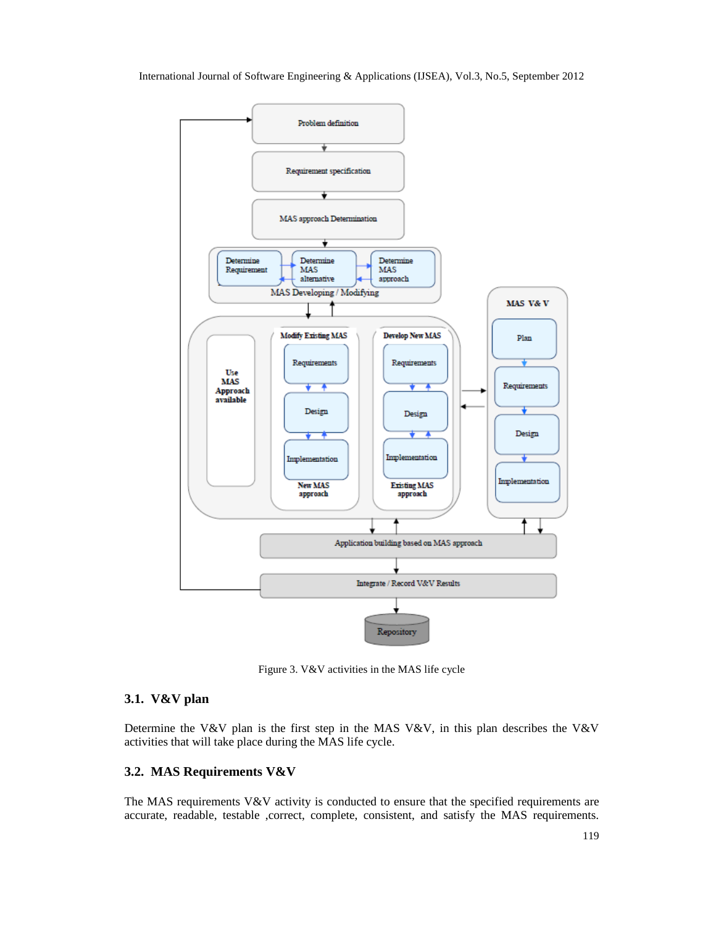

Figure 3. V&V activities in the MAS life cycle

#### **3.1. V&V plan**

Determine the V&V plan is the first step in the MAS V&V, in this plan describes the V&V activities that will take place during the MAS life cycle.

#### **3.2. MAS Requirements V&V**

The MAS requirements  $V&V$  activity is conducted to ensure that the specified requirements are accurate, readable, testable ,correct, complete, consistent, and satisfy the MAS requirements.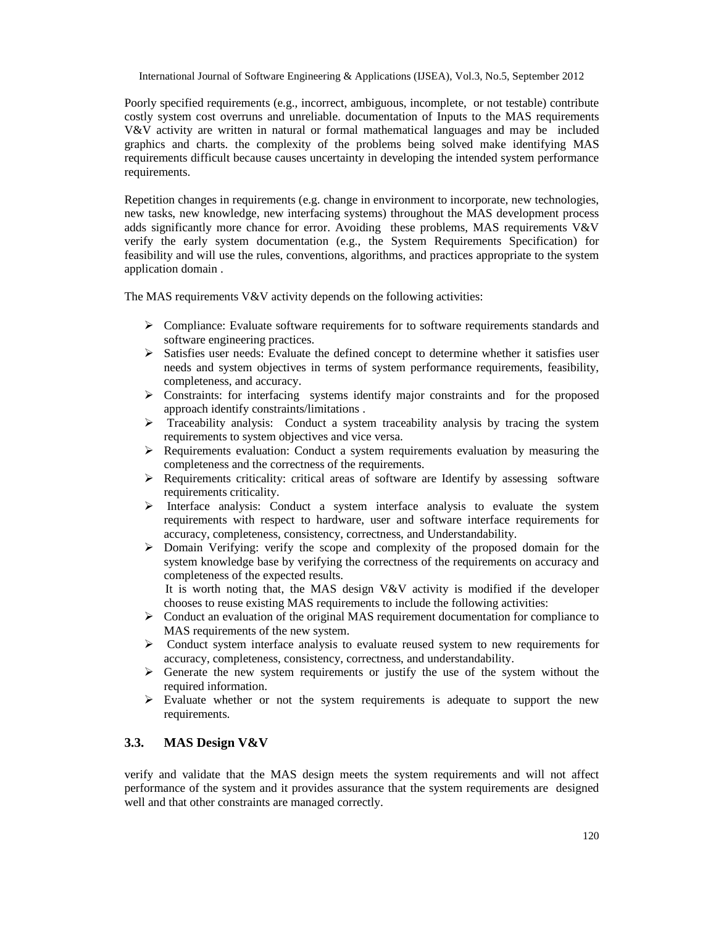Poorly specified requirements (e.g., incorrect, ambiguous, incomplete, or not testable) contribute costly system cost overruns and unreliable. documentation of Inputs to the MAS requirements V&V activity are written in natural or formal mathematical languages and may be included graphics and charts. the complexity of the problems being solved make identifying MAS requirements difficult because causes uncertainty in developing the intended system performance requirements.

Repetition changes in requirements (e.g. change in environment to incorporate, new technologies, new tasks, new knowledge, new interfacing systems) throughout the MAS development process adds significantly more chance for error. Avoiding these problems, MAS requirements V&V verify the early system documentation (e.g., the System Requirements Specification) for feasibility and will use the rules, conventions, algorithms, and practices appropriate to the system application domain .

The MAS requirements V&V activity depends on the following activities:

- $\triangleright$  Compliance: Evaluate software requirements for to software requirements standards and software engineering practices.
- $\triangleright$  Satisfies user needs: Evaluate the defined concept to determine whether it satisfies user needs and system objectives in terms of system performance requirements, feasibility, completeness, and accuracy.
- $\triangleright$  Constraints: for interfacing systems identify major constraints and for the proposed approach identify constraints/limitations .
- > Traceability analysis: Conduct a system traceability analysis by tracing the system requirements to system objectives and vice versa.
- $\triangleright$  Requirements evaluation: Conduct a system requirements evaluation by measuring the completeness and the correctness of the requirements.
- $\triangleright$  Requirements criticality: critical areas of software are Identify by assessing software requirements criticality.
- Interface analysis: Conduct a system interface analysis to evaluate the system requirements with respect to hardware, user and software interface requirements for accuracy, completeness, consistency, correctness, and Understandability.
- $\triangleright$  Domain Verifying: verify the scope and complexity of the proposed domain for the system knowledge base by verifying the correctness of the requirements on accuracy and completeness of the expected results.

It is worth noting that, the MAS design V&V activity is modified if the developer chooses to reuse existing MAS requirements to include the following activities:

- $\triangleright$  Conduct an evaluation of the original MAS requirement documentation for compliance to MAS requirements of the new system.
- Conduct system interface analysis to evaluate reused system to new requirements for accuracy, completeness, consistency, correctness, and understandability.
- $\triangleright$  Generate the new system requirements or justify the use of the system without the required information.
- $\triangleright$  Evaluate whether or not the system requirements is adequate to support the new requirements.

#### **3.3. MAS Design V&V**

verify and validate that the MAS design meets the system requirements and will not affect performance of the system and it provides assurance that the system requirements are designed well and that other constraints are managed correctly.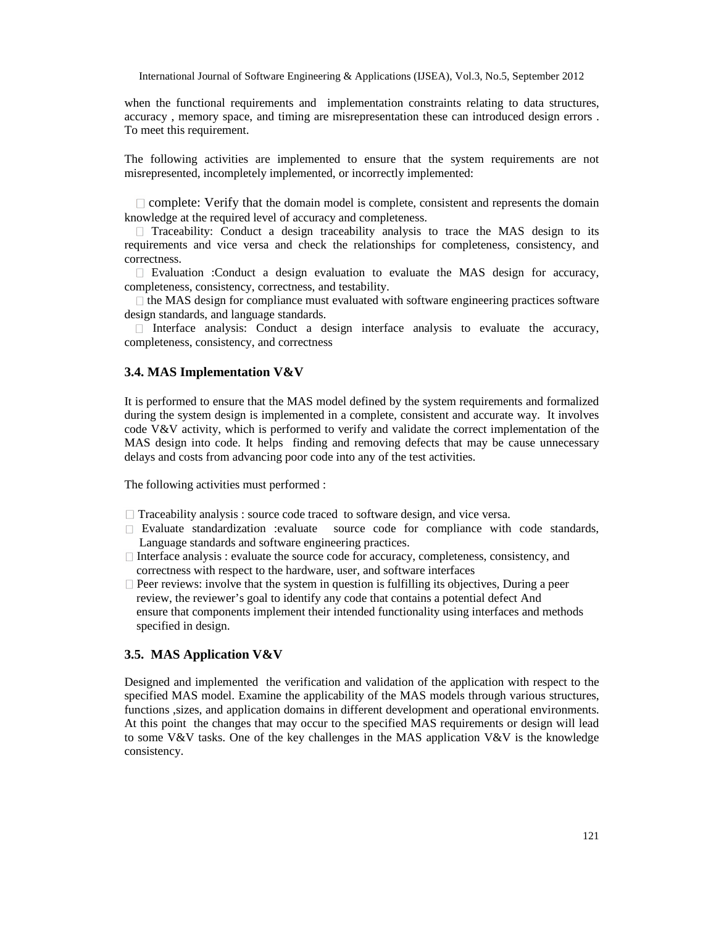when the functional requirements and implementation constraints relating to data structures, accuracy , memory space, and timing are misrepresentation these can introduced design errors . To meet this requirement.

The following activities are implemented to ensure that the system requirements are not misrepresented, incompletely implemented, or incorrectly implemented:

 $\Box$  complete: Verify that the domain model is complete, consistent and represents the domain knowledge at the required level of accuracy and completeness.

 $\Box$  Traceability: Conduct a design traceability analysis to trace the MAS design to its requirements and vice versa and check the relationships for completeness, consistency, and correctness.

 $\Box$  Evaluation : Conduct a design evaluation to evaluate the MAS design for accuracy, completeness, consistency, correctness, and testability.

 $\Box$  the MAS design for compliance must evaluated with software engineering practices software design standards, and language standards.

 $\Box$  Interface analysis: Conduct a design interface analysis to evaluate the accuracy, completeness, consistency, and correctness

#### **3.4. MAS Implementation V&V**

It is performed to ensure that the MAS model defined by the system requirements and formalized during the system design is implemented in a complete, consistent and accurate way. It involves code V&V activity, which is performed to verify and validate the correct implementation of the MAS design into code. It helps finding and removing defects that may be cause unnecessary delays and costs from advancing poor code into any of the test activities.

The following activities must performed :

- $\Box$  Traceability analysis : source code traced to software design, and vice versa.
- $\Box$  Evaluate standardization : evaluate source code for compliance with code standards, Language standards and software engineering practices.
- $\Box$  Interface analysis : evaluate the source code for accuracy, completeness, consistency, and correctness with respect to the hardware, user, and software interfaces
- $\Box$  Peer reviews: involve that the system in question is fulfilling its objectives, During a peer review, the reviewer's goal to identify any code that contains a potential defect And ensure that components implement their intended functionality using interfaces and methods specified in design.

#### **3.5. MAS Application V&V**

Designed and implemented the verification and validation of the application with respect to the specified MAS model. Examine the applicability of the MAS models through various structures, functions ,sizes, and application domains in different development and operational environments. At this point the changes that may occur to the specified MAS requirements or design will lead to some V&V tasks. One of the key challenges in the MAS application V&V is the knowledge consistency.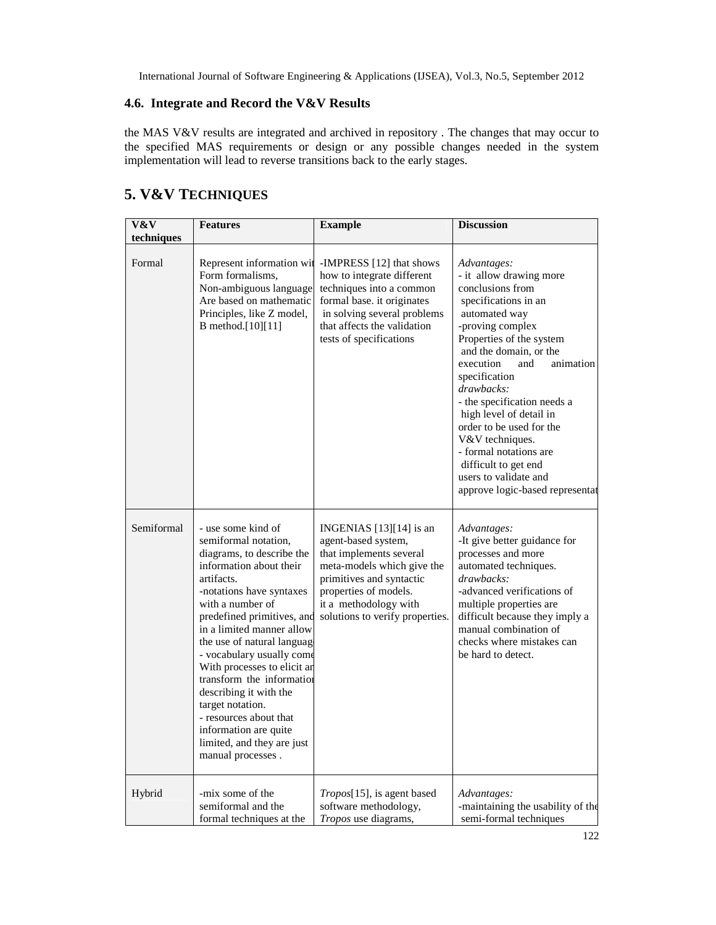## **4.6. Integrate and Record the V&V Results**

the MAS V&V results are integrated and archived in repository . The changes that may occur to the specified MAS requirements or design or any possible changes needed in the system implementation will lead to reverse transitions back to the early stages.

# **5. V&V TECHNIQUES**

| V&V        | <b>Features</b>                                                                                                                                                                                                                                                                                                                                                                                                                                                                                         | <b>Example</b>                                                                                                                                                                                                             | <b>Discussion</b>                                                                                                                                                                                                                                                                                                                                                                                                                                                    |
|------------|---------------------------------------------------------------------------------------------------------------------------------------------------------------------------------------------------------------------------------------------------------------------------------------------------------------------------------------------------------------------------------------------------------------------------------------------------------------------------------------------------------|----------------------------------------------------------------------------------------------------------------------------------------------------------------------------------------------------------------------------|----------------------------------------------------------------------------------------------------------------------------------------------------------------------------------------------------------------------------------------------------------------------------------------------------------------------------------------------------------------------------------------------------------------------------------------------------------------------|
| techniques |                                                                                                                                                                                                                                                                                                                                                                                                                                                                                                         |                                                                                                                                                                                                                            |                                                                                                                                                                                                                                                                                                                                                                                                                                                                      |
| Formal     | Represent information wit<br>Form formalisms,<br>Non-ambiguous language<br>Are based on mathematic<br>Principles, like Z model,<br>B method.[10][11]                                                                                                                                                                                                                                                                                                                                                    | -IMPRESS [12] that shows<br>how to integrate different<br>techniques into a common<br>formal base. it originates<br>in solving several problems<br>that affects the validation<br>tests of specifications                  | Advantages:<br>- it allow drawing more<br>conclusions from<br>specifications in an<br>automated way<br>-proving complex<br>Properties of the system<br>and the domain, or the<br>animation<br>execution<br>and<br>specification<br>drawbacks:<br>- the specification needs a<br>high level of detail in<br>order to be used for the<br>V&V techniques.<br>- formal notations are<br>difficult to get end<br>users to validate and<br>approve logic-based representat |
| Semiformal | - use some kind of<br>semiformal notation,<br>diagrams, to describe the<br>information about their<br>artifacts.<br>-notations have syntaxes<br>with a number of<br>predefined primitives, and<br>in a limited manner allow<br>the use of natural language<br>- vocabulary usually come<br>With processes to elicit an<br>transform the information<br>describing it with the<br>target notation.<br>- resources about that<br>information are quite<br>limited, and they are just<br>manual processes. | INGENIAS $[13][14]$ is an<br>agent-based system,<br>that implements several<br>meta-models which give the<br>primitives and syntactic<br>properties of models.<br>it a methodology with<br>solutions to verify properties. | Advantages:<br>-It give better guidance for<br>processes and more<br>automated techniques.<br>drawbacks:<br>-advanced verifications of<br>multiple properties are<br>difficult because they imply a<br>manual combination of<br>checks where mistakes can<br>be hard to detect.                                                                                                                                                                                      |
| Hybrid     | -mix some of the<br>semiformal and the<br>formal techniques at the                                                                                                                                                                                                                                                                                                                                                                                                                                      | Tropos[15], is agent based<br>software methodology,<br><i>Tropos</i> use diagrams,                                                                                                                                         | Advantages:<br>-maintaining the usability of the<br>semi-formal techniques                                                                                                                                                                                                                                                                                                                                                                                           |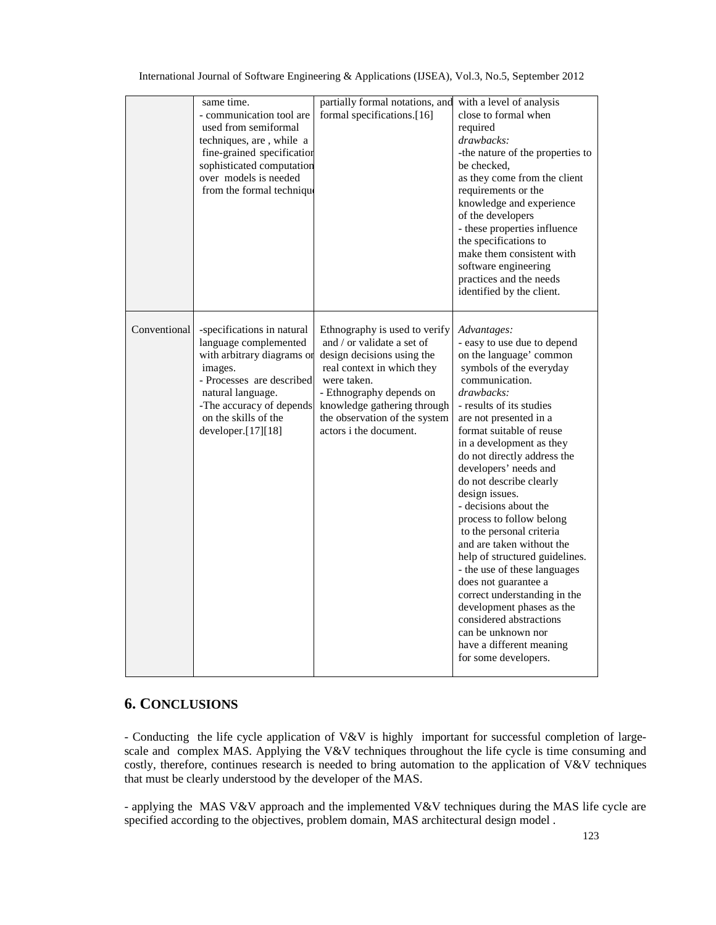|              | same time.<br>- communication tool are<br>used from semiformal<br>techniques, are, while a<br>fine-grained specification<br>sophisticated computation<br>over models is needed<br>from the formal technique              | partially formal notations, and<br>formal specifications.[16]                                                                                                                                                                                                | with a level of analysis<br>close to formal when<br>required<br>drawbacks:<br>-the nature of the properties to<br>be checked,<br>as they come from the client<br>requirements or the<br>knowledge and experience<br>of the developers<br>- these properties influence<br>the specifications to<br>make them consistent with<br>software engineering<br>practices and the needs<br>identified by the client.                                                                                                                                                                                                                                                                                                                   |
|--------------|--------------------------------------------------------------------------------------------------------------------------------------------------------------------------------------------------------------------------|--------------------------------------------------------------------------------------------------------------------------------------------------------------------------------------------------------------------------------------------------------------|-------------------------------------------------------------------------------------------------------------------------------------------------------------------------------------------------------------------------------------------------------------------------------------------------------------------------------------------------------------------------------------------------------------------------------------------------------------------------------------------------------------------------------------------------------------------------------------------------------------------------------------------------------------------------------------------------------------------------------|
| Conventional | -specifications in natural<br>language complemented<br>with arbitrary diagrams or<br>images.<br>- Processes are described<br>natural language.<br>-The accuracy of depends<br>on the skills of the<br>developer.[17][18] | Ethnography is used to verify<br>and / or validate a set of<br>design decisions using the<br>real context in which they<br>were taken.<br>- Ethnography depends on<br>knowledge gathering through<br>the observation of the system<br>actors i the document. | Advantages:<br>- easy to use due to depend<br>on the language' common<br>symbols of the everyday<br>communication.<br>drawbacks:<br>- results of its studies<br>are not presented in a<br>format suitable of reuse<br>in a development as they<br>do not directly address the<br>developers' needs and<br>do not describe clearly<br>design issues.<br>- decisions about the<br>process to follow belong<br>to the personal criteria<br>and are taken without the<br>help of structured guidelines.<br>- the use of these languages<br>does not guarantee a<br>correct understanding in the<br>development phases as the<br>considered abstractions<br>can be unknown nor<br>have a different meaning<br>for some developers. |

#### **6. CONCLUSIONS**

- Conducting the life cycle application of V&V is highly important for successful completion of largescale and complex MAS. Applying the V&V techniques throughout the life cycle is time consuming and costly, therefore, continues research is needed to bring automation to the application of V&V techniques that must be clearly understood by the developer of the MAS.

- applying the MAS V&V approach and the implemented V&V techniques during the MAS life cycle are specified according to the objectives, problem domain, MAS architectural design model .